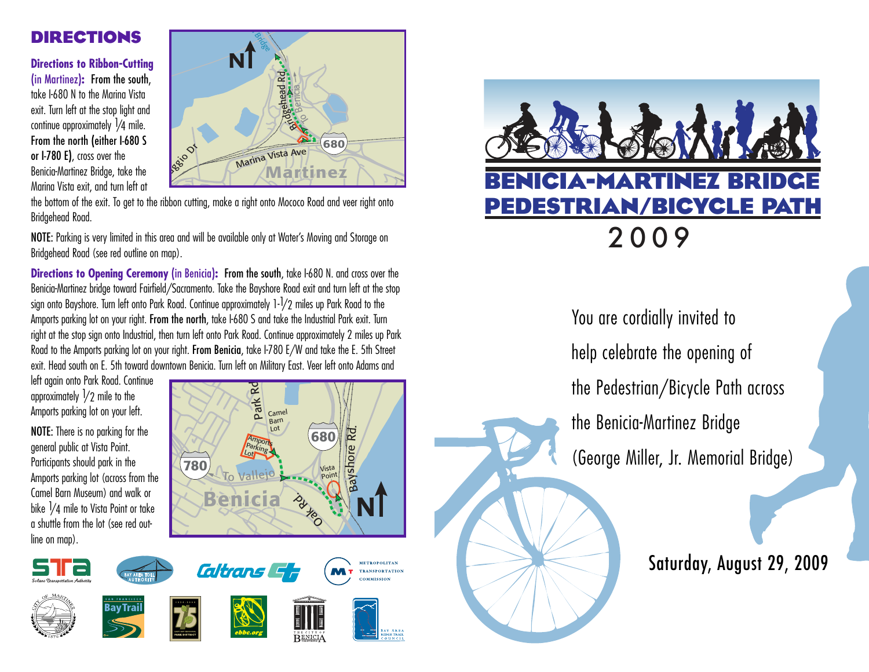# **Directions**

**Directions to Ribbon-Cutting** (in Martinez)**:** From the south, take I-680 N to the Marina Vista exit. Turn left at the stop light and continue approximately 1/4 mile. From the north (either I-680 S or I-780 E), cross over the Benicia-Martinez Bridge, take the Marina Vista exit, and turn left at



the bottom of the exit. To get to the ribbon cutting, make a right onto Mococo Road and veer right onto Bridgehead Road.

NOTE: Parking is very limited in this area and will be available only at Water's Moving and Storage on Bridgehead Road (see red outline on map).

**Directions to Opening Ceremony (in Benicia): From the south, take I-680 N. and cross over the** Benicia-Martinez bridge toward Fairfield/Sacramento. Take the Bayshore Road exit and turn left at the stop sign onto Bayshore. Turn left onto Park Road. Continue approximately 1-1/2 miles up Park Road to the Amports parking lot on your right. From the north, take I-680 S and take the Industrial Park exit. Turn right at the stop sign onto Industrial, then turn left onto Park Road. Continue approximately 2 miles up Park Road to the Amports parking lot on your right. From Benicia, take I-780 E/W and take the E. 5th Street exit. Head south on E. 5th toward downtown Benicia. Turn left on Military East. Veer left onto Adams and

left again onto Park Road. Continue approximately  $\frac{1}{2}$  mile to the Amports parking lot on your left.

NOTE: There is no parking for the general public at Vista Point. Participants should park in the Amports parking lot (across from the Camel Barn Museum) and walk or bike  $\frac{1}{4}$  mile to Vista Point or take a shuttle from the lot (see red outline on map).







You are cordially invited to help celebrate the opening of the Pedestrian/Bicycle Path across the Benicia-Martinez Bridge (George Miller, Jr. Memorial Bridge)

Saturday, August 29, 2009